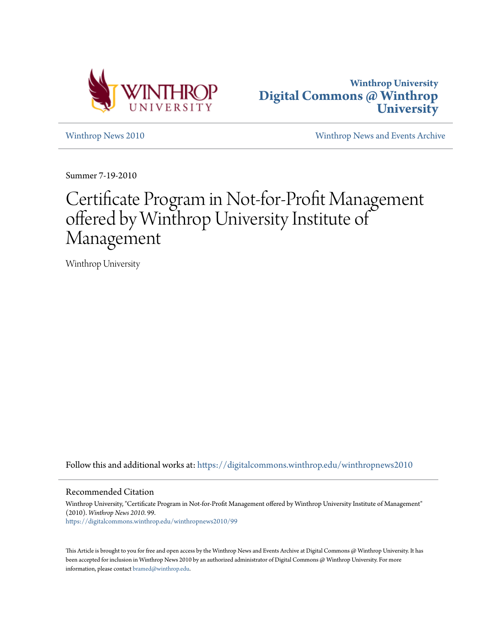



[Winthrop News 2010](https://digitalcommons.winthrop.edu/winthropnews2010?utm_source=digitalcommons.winthrop.edu%2Fwinthropnews2010%2F99&utm_medium=PDF&utm_campaign=PDFCoverPages) [Winthrop News and Events Archive](https://digitalcommons.winthrop.edu/winthropnewsarchives?utm_source=digitalcommons.winthrop.edu%2Fwinthropnews2010%2F99&utm_medium=PDF&utm_campaign=PDFCoverPages)

Summer 7-19-2010

## Certificate Program in Not-for-Profit Management offered by Winthrop University Institute of Management

Winthrop University

Follow this and additional works at: [https://digitalcommons.winthrop.edu/winthropnews2010](https://digitalcommons.winthrop.edu/winthropnews2010?utm_source=digitalcommons.winthrop.edu%2Fwinthropnews2010%2F99&utm_medium=PDF&utm_campaign=PDFCoverPages)

## Recommended Citation

Winthrop University, "Certificate Program in Not-for-Profit Management offered by Winthrop University Institute of Management" (2010). *Winthrop News 2010*. 99. [https://digitalcommons.winthrop.edu/winthropnews2010/99](https://digitalcommons.winthrop.edu/winthropnews2010/99?utm_source=digitalcommons.winthrop.edu%2Fwinthropnews2010%2F99&utm_medium=PDF&utm_campaign=PDFCoverPages)

This Article is brought to you for free and open access by the Winthrop News and Events Archive at Digital Commons @ Winthrop University. It has been accepted for inclusion in Winthrop News 2010 by an authorized administrator of Digital Commons @ Winthrop University. For more information, please contact [bramed@winthrop.edu](mailto:bramed@winthrop.edu).